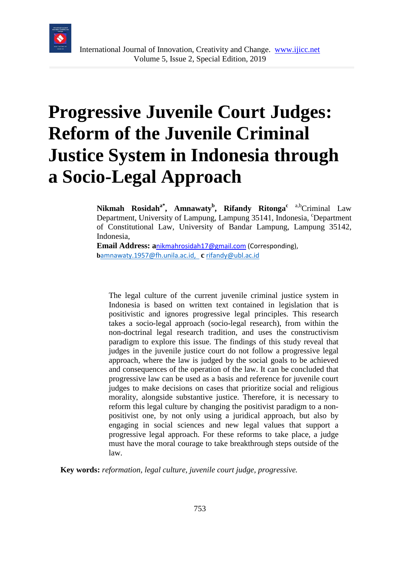

# **Progressive Juvenile Court Judges: Reform of the Juvenile Criminal Justice System in Indonesia through a Socio-Legal Approach**

**Nikmah Rosidah<sup>a\*</sup>, Amnawaty<sup>b</sup>, Rifandy Ritonga<sup>c a,b</sup>Criminal Law** Department, University of Lampung, Lampung 35141, Indonesia, <sup>c</sup>Department of Constitutional Law, University of Bandar Lampung, Lampung 35142, Indonesia,

**Email Address: a**[nikmahrosidah17@gmail.com](mailto:nikmahrosidah17@gmail.com) (Corresponding), **b**[amnawaty.1957@fh.unila.ac.id,](mailto:bamnawaty.1957@fh.unila.ac.id) **c** [rifandy@ubl.ac.id](mailto:rifandy@ubl.ac.id)

The legal culture of the current juvenile criminal justice system in Indonesia is based on written text contained in legislation that is positivistic and ignores progressive legal principles. This research takes a socio-legal approach (socio-legal research), from within the non-doctrinal legal research tradition, and uses the constructivism paradigm to explore this issue. The findings of this study reveal that judges in the juvenile justice court do not follow a progressive legal approach, where the law is judged by the social goals to be achieved and consequences of the operation of the law. It can be concluded that progressive law can be used as a basis and reference for juvenile court judges to make decisions on cases that prioritize social and religious morality, alongside substantive justice. Therefore, it is necessary to reform this legal culture by changing the positivist paradigm to a nonpositivist one, by not only using a juridical approach, but also by engaging in social sciences and new legal values that support a progressive legal approach. For these reforms to take place, a judge must have the moral courage to take breakthrough steps outside of the law.

**Key words:** *reformation, legal culture, juvenile court judge, progressive.*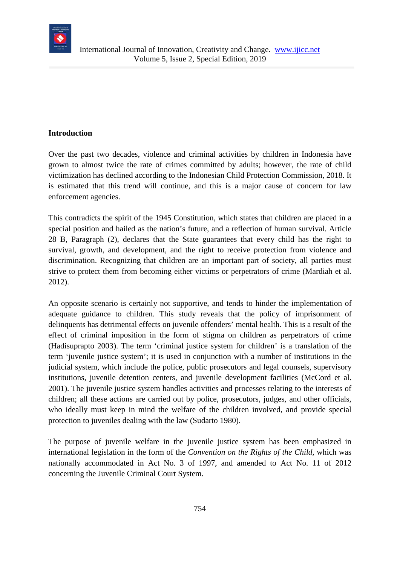

### **Introduction**

Over the past two decades, violence and criminal activities by children in Indonesia have grown to almost twice the rate of crimes committed by adults; however, the rate of child victimization has declined according to the Indonesian Child Protection Commission, 2018. It is estimated that this trend will continue, and this is a major cause of concern for law enforcement agencies.

This contradicts the spirit of the 1945 Constitution, which states that children are placed in a special position and hailed as the nation's future, and a reflection of human survival. Article 28 B, Paragraph (2), declares that the State guarantees that every child has the right to survival, growth, and development, and the right to receive protection from violence and discrimination. Recognizing that children are an important part of society, all parties must strive to protect them from becoming either victims or perpetrators of crime (Mardiah et al. 2012).

An opposite scenario is certainly not supportive, and tends to hinder the implementation of adequate guidance to children. This study reveals that the policy of imprisonment of delinquents has detrimental effects on juvenile offenders' mental health. This is a result of the effect of criminal imposition in the form of stigma on children as perpetrators of crime (Hadisuprapto 2003). The term 'criminal justice system for children' is a translation of the term 'juvenile justice system'; it is used in conjunction with a number of institutions in the judicial system, which include the police, public prosecutors and legal counsels, supervisory institutions, juvenile detention centers, and juvenile development facilities (McCord et al. 2001). The juvenile justice system handles activities and processes relating to the interests of children; all these actions are carried out by police, prosecutors, judges, and other officials, who ideally must keep in mind the welfare of the children involved, and provide special protection to juveniles dealing with the law (Sudarto 1980).

The purpose of juvenile welfare in the juvenile justice system has been emphasized in international legislation in the form of the *Convention on the Rights of the Child,* which was nationally accommodated in Act No. 3 of 1997, and amended to Act No. 11 of 2012 concerning the Juvenile Criminal Court System.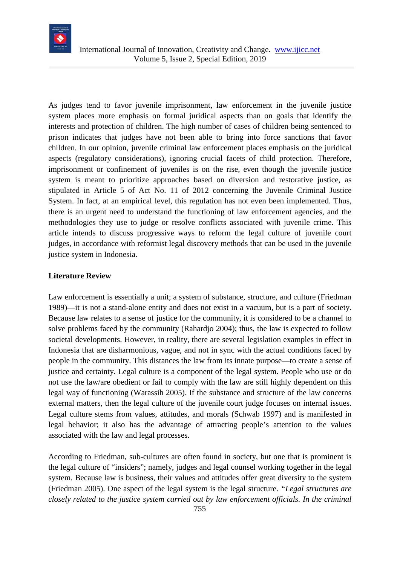

As judges tend to favor juvenile imprisonment, law enforcement in the juvenile justice system places more emphasis on formal juridical aspects than on goals that identify the interests and protection of children. The high number of cases of children being sentenced to prison indicates that judges have not been able to bring into force sanctions that favor children. In our opinion, juvenile criminal law enforcement places emphasis on the juridical aspects (regulatory considerations), ignoring crucial facets of child protection. Therefore, imprisonment or confinement of juveniles is on the rise, even though the juvenile justice system is meant to prioritize approaches based on diversion and restorative justice, as stipulated in Article 5 of Act No. 11 of 2012 concerning the Juvenile Criminal Justice System. In fact, at an empirical level, this regulation has not even been implemented. Thus, there is an urgent need to understand the functioning of law enforcement agencies, and the methodologies they use to judge or resolve conflicts associated with juvenile crime. This article intends to discuss progressive ways to reform the legal culture of juvenile court judges, in accordance with reformist legal discovery methods that can be used in the juvenile justice system in Indonesia.

### **Literature Review**

Law enforcement is essentially a unit; a system of substance, structure, and culture (Friedman 1989)—it is not a stand-alone entity and does not exist in a vacuum, but is a part of society. Because law relates to a sense of justice for the community, it is considered to be a channel to solve problems faced by the community (Rahardjo 2004); thus, the law is expected to follow societal developments. However, in reality, there are several legislation examples in effect in Indonesia that are disharmonious, vague, and not in sync with the actual conditions faced by people in the community. This distances the law from its innate purpose—to create a sense of justice and certainty. Legal culture is a component of the legal system. People who use or do not use the law/are obedient or fail to comply with the law are still highly dependent on this legal way of functioning (Warassih 2005). If the substance and structure of the law concerns external matters, then the legal culture of the juvenile court judge focuses on internal issues. Legal culture stems from values, attitudes, and morals (Schwab 1997) and is manifested in legal behavior; it also has the advantage of attracting people's attention to the values associated with the law and legal processes.

According to Friedman, sub-cultures are often found in society, but one that is prominent is the legal culture of "insiders"; namely, judges and legal counsel working together in the legal system. Because law is business, their values and attitudes offer great diversity to the system (Friedman 2005). One aspect of the legal system is the legal structure. *"Legal structures are closely related to the justice system carried out by law enforcement officials. In the criminal*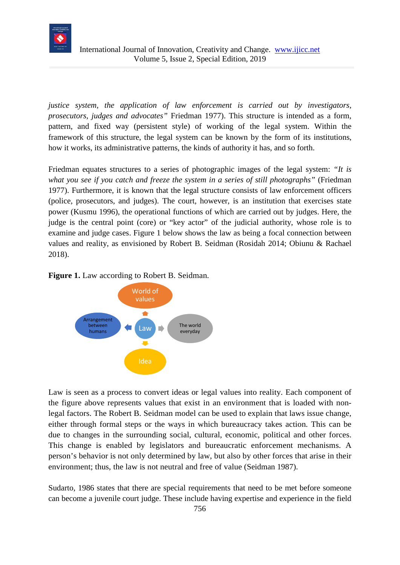

*justice system, the application of law enforcement is carried out by investigators, prosecutors, judges and advocates"* Friedman 1977). This structure is intended as a form, pattern, and fixed way (persistent style) of working of the legal system. Within the framework of this structure, the legal system can be known by the form of its institutions, how it works, its administrative patterns, the kinds of authority it has, and so forth.

Friedman equates structures to a series of photographic images of the legal system: *"It is what you see if you catch and freeze the system in a series of still photographs"* (Friedman 1977). Furthermore, it is known that the legal structure consists of law enforcement officers (police, prosecutors, and judges). The court, however, is an institution that exercises state power (Kusmu 1996), the operational functions of which are carried out by judges. Here, the judge is the central point (core) or "key actor" of the judicial authority, whose role is to examine and judge cases. Figure 1 below shows the law as being a focal connection between values and reality, as envisioned by Robert B. Seidman (Rosidah 2014; Obiunu & Rachael 2018).





Law is seen as a process to convert ideas or legal values into reality. Each component of the figure above represents values that exist in an environment that is loaded with nonlegal factors. The Robert B. Seidman model can be used to explain that laws issue change, either through formal steps or the ways in which bureaucracy takes action. This can be due to changes in the surrounding social, cultural, economic, political and other forces. This change is enabled by legislators and bureaucratic enforcement mechanisms. A person's behavior is not only determined by law, but also by other forces that arise in their environment; thus, the law is not neutral and free of value (Seidman 1987).

Sudarto, 1986 states that there are special requirements that need to be met before someone can become a juvenile court judge. These include having expertise and experience in the field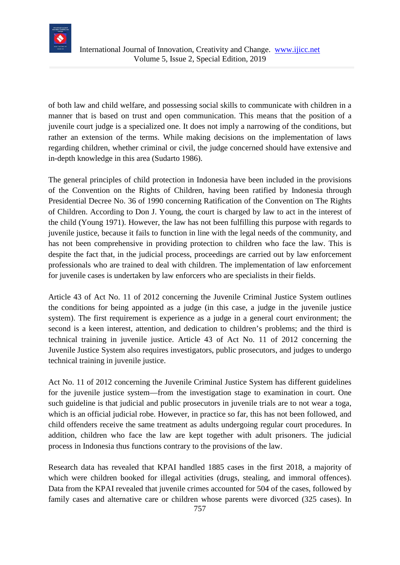

of both law and child welfare, and possessing social skills to communicate with children in a manner that is based on trust and open communication. This means that the position of a juvenile court judge is a specialized one. It does not imply a narrowing of the conditions, but rather an extension of the terms. While making decisions on the implementation of laws regarding children, whether criminal or civil, the judge concerned should have extensive and in-depth knowledge in this area (Sudarto 1986).

The general principles of child protection in Indonesia have been included in the provisions of the Convention on the Rights of Children, having been ratified by Indonesia through Presidential Decree No. 36 of 1990 concerning Ratification of the Convention on The Rights of Children. According to Don J. Young, the court is charged by law to act in the interest of the child (Young 1971). However, the law has not been fulfilling this purpose with regards to juvenile justice, because it fails to function in line with the legal needs of the community, and has not been comprehensive in providing protection to children who face the law. This is despite the fact that, in the judicial process, proceedings are carried out by law enforcement professionals who are trained to deal with children. The implementation of law enforcement for juvenile cases is undertaken by law enforcers who are specialists in their fields.

Article 43 of Act No. 11 of 2012 concerning the Juvenile Criminal Justice System outlines the conditions for being appointed as a judge (in this case, a judge in the juvenile justice system). The first requirement is experience as a judge in a general court environment; the second is a keen interest, attention, and dedication to children's problems; and the third is technical training in juvenile justice. Article 43 of Act No. 11 of 2012 concerning the Juvenile Justice System also requires investigators, public prosecutors, and judges to undergo technical training in juvenile justice.

Act No. 11 of 2012 concerning the Juvenile Criminal Justice System has different guidelines for the juvenile justice system—from the investigation stage to examination in court. One such guideline is that judicial and public prosecutors in juvenile trials are to not wear a toga, which is an official judicial robe. However, in practice so far, this has not been followed, and child offenders receive the same treatment as adults undergoing regular court procedures. In addition, children who face the law are kept together with adult prisoners. The judicial process in Indonesia thus functions contrary to the provisions of the law.

Research data has revealed that KPAI handled 1885 cases in the first 2018, a majority of which were children booked for illegal activities (drugs, stealing, and immoral offences). Data from the KPAI revealed that juvenile crimes accounted for 504 of the cases, followed by family cases and alternative care or children whose parents were divorced (325 cases). In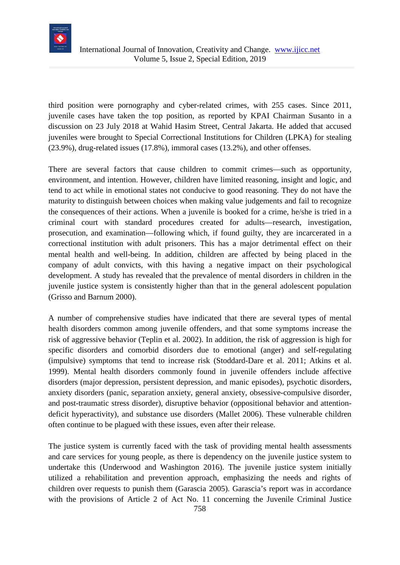

third position were pornography and cyber-related crimes, with 255 cases. Since 2011, juvenile cases have taken the top position, as reported by KPAI Chairman Susanto in a discussion on 23 July 2018 at Wahid Hasim Street, Central Jakarta. He added that accused juveniles were brought to Special Correctional Institutions for Children (LPKA) for stealing (23.9%), drug-related issues (17.8%), immoral cases (13.2%), and other offenses.

There are several factors that cause children to commit crimes—such as opportunity, environment, and intention. However, children have limited reasoning, insight and logic, and tend to act while in emotional states not conducive to good reasoning. They do not have the maturity to distinguish between choices when making value judgements and fail to recognize the consequences of their actions. When a juvenile is booked for a crime, he/she is tried in a criminal court with standard procedures created for adults—research, investigation, prosecution, and examination—following which, if found guilty, they are incarcerated in a correctional institution with adult prisoners. This has a major detrimental effect on their mental health and well-being. In addition, children are affected by being placed in the company of adult convicts, with this having a negative impact on their psychological development. A study has revealed that the prevalence of mental disorders in children in the juvenile justice system is consistently higher than that in the general adolescent population (Grisso and Barnum 2000).

A number of comprehensive studies have indicated that there are several types of mental health disorders common among juvenile offenders, and that some symptoms increase the risk of aggressive behavior (Teplin et al. 2002). In addition, the risk of aggression is high for specific disorders and comorbid disorders due to emotional (anger) and self-regulating (impulsive) symptoms that tend to increase risk (Stoddard-Dare et al. 2011; Atkins et al. 1999). Mental health disorders commonly found in juvenile offenders include affective disorders (major depression, persistent depression, and manic episodes), psychotic disorders, anxiety disorders (panic, separation anxiety, general anxiety, obsessive-compulsive disorder, and post-traumatic stress disorder), disruptive behavior (oppositional behavior and attentiondeficit hyperactivity), and substance use disorders (Mallet 2006). These vulnerable children often continue to be plagued with these issues, even after their release.

The justice system is currently faced with the task of providing mental health assessments and care services for young people, as there is dependency on the juvenile justice system to undertake this (Underwood and Washington 2016). The juvenile justice system initially utilized a rehabilitation and prevention approach, emphasizing the needs and rights of children over requests to punish them (Garascia 2005). Garascia's report was in accordance with the provisions of Article 2 of Act No. 11 concerning the Juvenile Criminal Justice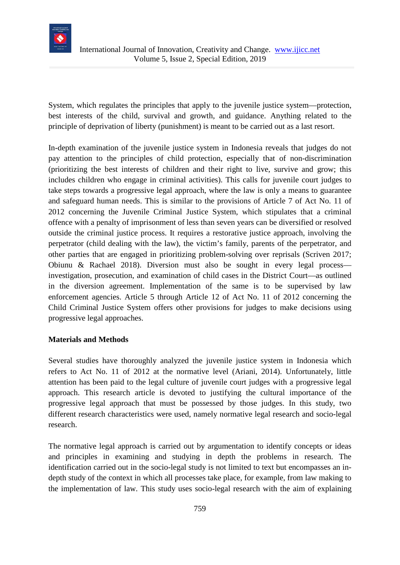

System, which regulates the principles that apply to the juvenile justice system—protection, best interests of the child, survival and growth, and guidance. Anything related to the principle of deprivation of liberty (punishment) is meant to be carried out as a last resort.

In-depth examination of the juvenile justice system in Indonesia reveals that judges do not pay attention to the principles of child protection, especially that of non-discrimination (prioritizing the best interests of children and their right to live, survive and grow; this includes children who engage in criminal activities). This calls for juvenile court judges to take steps towards a progressive legal approach, where the law is only a means to guarantee and safeguard human needs. This is similar to the provisions of Article 7 of Act No. 11 of 2012 concerning the Juvenile Criminal Justice System, which stipulates that a criminal offence with a penalty of imprisonment of less than seven years can be diversified or resolved outside the criminal justice process. It requires a restorative justice approach, involving the perpetrator (child dealing with the law), the victim's family, parents of the perpetrator, and other parties that are engaged in prioritizing problem-solving over reprisals (Scriven 2017; Obiunu & Rachael 2018). Diversion must also be sought in every legal process investigation, prosecution, and examination of child cases in the District Court—as outlined in the diversion agreement. Implementation of the same is to be supervised by law enforcement agencies. Article 5 through Article 12 of Act No. 11 of 2012 concerning the Child Criminal Justice System offers other provisions for judges to make decisions using progressive legal approaches.

### **Materials and Methods**

Several studies have thoroughly analyzed the juvenile justice system in Indonesia which refers to Act No. 11 of 2012 at the normative level (Ariani, 2014). Unfortunately, little attention has been paid to the legal culture of juvenile court judges with a progressive legal approach. This research article is devoted to justifying the cultural importance of the progressive legal approach that must be possessed by those judges. In this study, two different research characteristics were used, namely normative legal research and socio-legal research.

The normative legal approach is carried out by argumentation to identify concepts or ideas and principles in examining and studying in depth the problems in research. The identification carried out in the socio-legal study is not limited to text but encompasses an indepth study of the context in which all processes take place, for example, from law making to the implementation of law. This study uses socio-legal research with the aim of explaining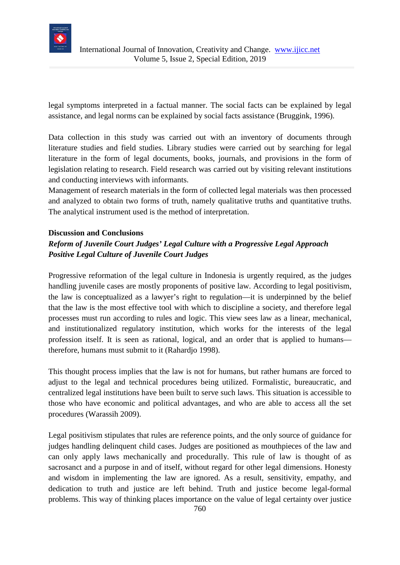

legal symptoms interpreted in a factual manner. The social facts can be explained by legal assistance, and legal norms can be explained by social facts assistance (Bruggink, 1996).

Data collection in this study was carried out with an inventory of documents through literature studies and field studies. Library studies were carried out by searching for legal literature in the form of legal documents, books, journals, and provisions in the form of legislation relating to research. Field research was carried out by visiting relevant institutions and conducting interviews with informants.

Management of research materials in the form of collected legal materials was then processed and analyzed to obtain two forms of truth, namely qualitative truths and quantitative truths. The analytical instrument used is the method of interpretation.

### **Discussion and Conclusions**

## *Reform of Juvenile Court Judges' Legal Culture with a Progressive Legal Approach Positive Legal Culture of Juvenile Court Judges*

Progressive reformation of the legal culture in Indonesia is urgently required, as the judges handling juvenile cases are mostly proponents of positive law. According to legal positivism, the law is conceptualized as a lawyer's right to regulation—it is underpinned by the belief that the law is the most effective tool with which to discipline a society, and therefore legal processes must run according to rules and logic. This view sees law as a linear, mechanical, and institutionalized regulatory institution, which works for the interests of the legal profession itself. It is seen as rational, logical, and an order that is applied to humans therefore, humans must submit to it (Rahardjo 1998).

This thought process implies that the law is not for humans, but rather humans are forced to adjust to the legal and technical procedures being utilized. Formalistic, bureaucratic, and centralized legal institutions have been built to serve such laws. This situation is accessible to those who have economic and political advantages, and who are able to access all the set procedures (Warassih 2009).

Legal positivism stipulates that rules are reference points, and the only source of guidance for judges handling delinquent child cases. Judges are positioned as mouthpieces of the law and can only apply laws mechanically and procedurally. This rule of law is thought of as sacrosanct and a purpose in and of itself, without regard for other legal dimensions. Honesty and wisdom in implementing the law are ignored. As a result, sensitivity, empathy, and dedication to truth and justice are left behind. Truth and justice become legal-formal problems. This way of thinking places importance on the value of legal certainty over justice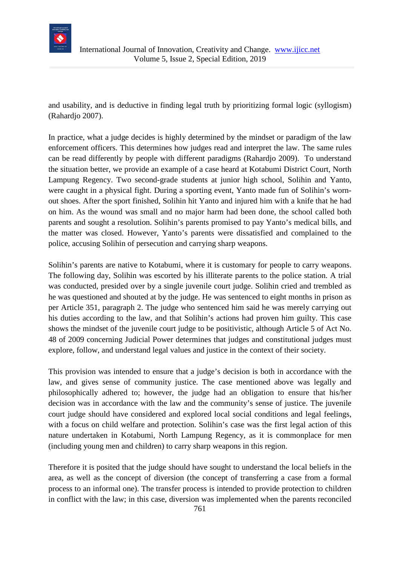

and usability, and is deductive in finding legal truth by prioritizing formal logic (syllogism) (Rahardjo 2007).

In practice, what a judge decides is highly determined by the mindset or paradigm of the law enforcement officers. This determines how judges read and interpret the law. The same rules can be read differently by people with different paradigms (Rahardjo 2009). To understand the situation better, we provide an example of a case heard at Kotabumi District Court, North Lampung Regency. Two second-grade students at junior high school, Solihin and Yanto, were caught in a physical fight. During a sporting event, Yanto made fun of Solihin's wornout shoes. After the sport finished, Solihin hit Yanto and injured him with a knife that he had on him. As the wound was small and no major harm had been done, the school called both parents and sought a resolution. Solihin's parents promised to pay Yanto's medical bills, and the matter was closed. However, Yanto's parents were dissatisfied and complained to the police, accusing Solihin of persecution and carrying sharp weapons.

Solihin's parents are native to Kotabumi, where it is customary for people to carry weapons. The following day, Solihin was escorted by his illiterate parents to the police station. A trial was conducted, presided over by a single juvenile court judge. Solihin cried and trembled as he was questioned and shouted at by the judge. He was sentenced to eight months in prison as per Article 351, paragraph 2. The judge who sentenced him said he was merely carrying out his duties according to the law, and that Solihin's actions had proven him guilty. This case shows the mindset of the juvenile court judge to be positivistic, although Article 5 of Act No. 48 of 2009 concerning Judicial Power determines that judges and constitutional judges must explore, follow, and understand legal values and justice in the context of their society.

This provision was intended to ensure that a judge's decision is both in accordance with the law, and gives sense of community justice. The case mentioned above was legally and philosophically adhered to; however, the judge had an obligation to ensure that his/her decision was in accordance with the law and the community's sense of justice. The juvenile court judge should have considered and explored local social conditions and legal feelings, with a focus on child welfare and protection. Solihin's case was the first legal action of this nature undertaken in Kotabumi, North Lampung Regency, as it is commonplace for men (including young men and children) to carry sharp weapons in this region.

Therefore it is posited that the judge should have sought to understand the local beliefs in the area, as well as the concept of diversion (the concept of transferring a case from a formal process to an informal one). The transfer process is intended to provide protection to children in conflict with the law; in this case, diversion was implemented when the parents reconciled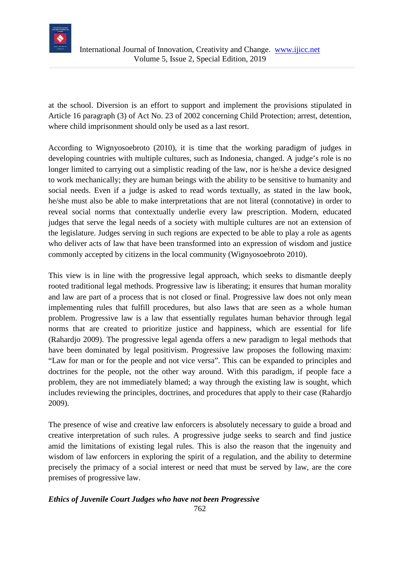

at the school. Diversion is an effort to support and implement the provisions stipulated in Article 16 paragraph (3) of Act No. 23 of 2002 concerning Child Protection; arrest, detention, where child imprisonment should only be used as a last resort.

According to Wignyosoebroto (2010), it is time that the working paradigm of judges in developing countries with multiple cultures, such as Indonesia, changed. A judge's role is no longer limited to carrying out a simplistic reading of the law, nor is he/she a device designed to work mechanically; they are human beings with the ability to be sensitive to humanity and social needs. Even if a judge is asked to read words textually, as stated in the law book, he/she must also be able to make interpretations that are not literal (connotative) in order to reveal social norms that contextually underlie every law prescription. Modern, educated judges that serve the legal needs of a society with multiple cultures are not an extension of the legislature. Judges serving in such regions are expected to be able to play a role as agents who deliver acts of law that have been transformed into an expression of wisdom and justice commonly accepted by citizens in the local community (Wignyosoebroto 2010).

This view is in line with the progressive legal approach, which seeks to dismantle deeply rooted traditional legal methods. Progressive law is liberating; it ensures that human morality and law are part of a process that is not closed or final. Progressive law does not only mean implementing rules that fulfill procedures, but also laws that are seen as a whole human problem. Progressive law is a law that essentially regulates human behavior through legal norms that are created to prioritize justice and happiness, which are essential for life (Rahardjo 2009). The progressive legal agenda offers a new paradigm to legal methods that have been dominated by legal positivism. Progressive law proposes the following maxim: "Law for man or for the people and not vice versa". This can be expanded to principles and doctrines for the people, not the other way around. With this paradigm, if people face a problem, they are not immediately blamed; a way through the existing law is sought, which includes reviewing the principles, doctrines, and procedures that apply to their case (Rahardjo 2009).

The presence of wise and creative law enforcers is absolutely necessary to guide a broad and creative interpretation of such rules. A progressive judge seeks to search and find justice amid the limitations of existing legal rules. This is also the reason that the ingenuity and wisdom of law enforcers in exploring the spirit of a regulation, and the ability to determine precisely the primacy of a social interest or need that must be served by law, are the core premises of progressive law.

#### 762 *Ethics of Juvenile Court Judges who have not been Progressive*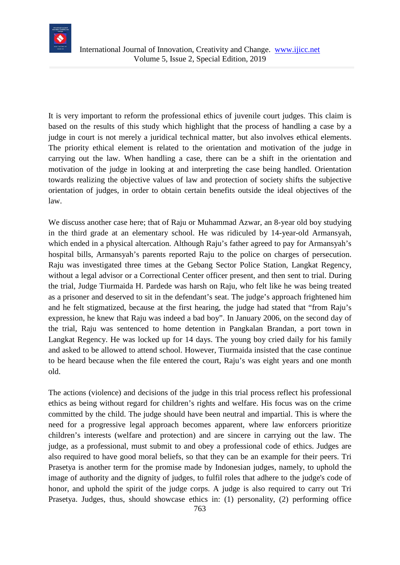

It is very important to reform the professional ethics of juvenile court judges. This claim is based on the results of this study which highlight that the process of handling a case by a judge in court is not merely a juridical technical matter, but also involves ethical elements. The priority ethical element is related to the orientation and motivation of the judge in carrying out the law. When handling a case, there can be a shift in the orientation and motivation of the judge in looking at and interpreting the case being handled. Orientation towards realizing the objective values of law and protection of society shifts the subjective orientation of judges, in order to obtain certain benefits outside the ideal objectives of the law.

We discuss another case here; that of Raju or Muhammad Azwar, an 8-year old boy studying in the third grade at an elementary school. He was ridiculed by 14-year-old Armansyah, which ended in a physical altercation. Although Raju's father agreed to pay for Armansyah's hospital bills, Armansyah's parents reported Raju to the police on charges of persecution. Raju was investigated three times at the Gebang Sector Police Station, Langkat Regency, without a legal advisor or a Correctional Center officer present, and then sent to trial. During the trial, Judge Tiurmaida H. Pardede was harsh on Raju, who felt like he was being treated as a prisoner and deserved to sit in the defendant's seat. The judge's approach frightened him and he felt stigmatized, because at the first hearing, the judge had stated that "from Raju's expression, he knew that Raju was indeed a bad boy". In January 2006, on the second day of the trial, Raju was sentenced to home detention in Pangkalan Brandan, a port town in Langkat Regency. He was locked up for 14 days. The young boy cried daily for his family and asked to be allowed to attend school. However, Tiurmaida insisted that the case continue to be heard because when the file entered the court, Raju's was eight years and one month old.

The actions (violence) and decisions of the judge in this trial process reflect his professional ethics as being without regard for children's rights and welfare. His focus was on the crime committed by the child. The judge should have been neutral and impartial. This is where the need for a progressive legal approach becomes apparent, where law enforcers prioritize children's interests (welfare and protection) and are sincere in carrying out the law. The judge, as a professional, must submit to and obey a professional code of ethics. Judges are also required to have good moral beliefs, so that they can be an example for their peers. Tri Prasetya is another term for the promise made by Indonesian judges, namely, to uphold the image of authority and the dignity of judges, to fulfil roles that adhere to the judge's code of honor, and uphold the spirit of the judge corps. A judge is also required to carry out Tri Prasetya. Judges, thus, should showcase ethics in: (1) personality, (2) performing office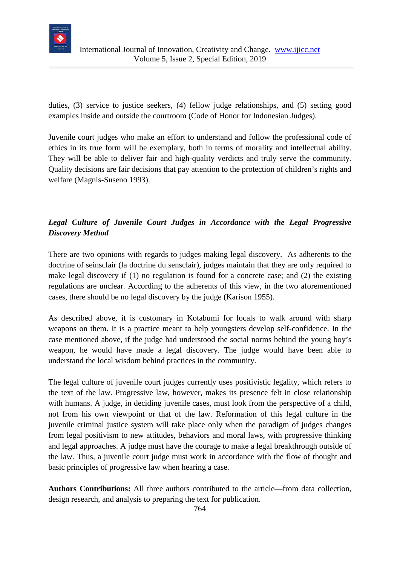

duties, (3) service to justice seekers, (4) fellow judge relationships, and (5) setting good examples inside and outside the courtroom (Code of Honor for Indonesian Judges).

Juvenile court judges who make an effort to understand and follow the professional code of ethics in its true form will be exemplary, both in terms of morality and intellectual ability. They will be able to deliver fair and high-quality verdicts and truly serve the community. Quality decisions are fair decisions that pay attention to the protection of children's rights and welfare (Magnis-Suseno 1993).

## *Legal Culture of Juvenile Court Judges in Accordance with the Legal Progressive Discovery Method*

There are two opinions with regards to judges making legal discovery. As adherents to the doctrine of seinsclair (la doctrine du sensclair), judges maintain that they are only required to make legal discovery if (1) no regulation is found for a concrete case; and (2) the existing regulations are unclear. According to the adherents of this view, in the two aforementioned cases, there should be no legal discovery by the judge (Karison 1955).

As described above, it is customary in Kotabumi for locals to walk around with sharp weapons on them. It is a practice meant to help youngsters develop self-confidence. In the case mentioned above, if the judge had understood the social norms behind the young boy's weapon, he would have made a legal discovery. The judge would have been able to understand the local wisdom behind practices in the community.

The legal culture of juvenile court judges currently uses positivistic legality, which refers to the text of the law. Progressive law, however, makes its presence felt in close relationship with humans. A judge, in deciding juvenile cases, must look from the perspective of a child, not from his own viewpoint or that of the law. Reformation of this legal culture in the juvenile criminal justice system will take place only when the paradigm of judges changes from legal positivism to new attitudes, behaviors and moral laws, with progressive thinking and legal approaches. A judge must have the courage to make a legal breakthrough outside of the law. Thus, a juvenile court judge must work in accordance with the flow of thought and basic principles of progressive law when hearing a case.

**Authors Contributions:** All three authors contributed to the article—from data collection, design research, and analysis to preparing the text for publication.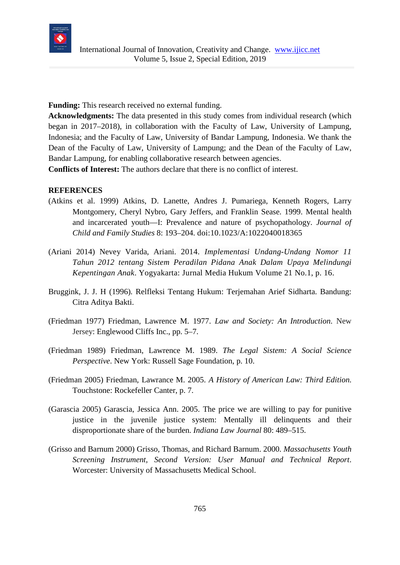

**Funding:** This research received no external funding.

**Acknowledgments:** The data presented in this study comes from individual research (which began in 2017–2018), in collaboration with the Faculty of Law, University of Lampung, Indonesia; and the Faculty of Law, University of Bandar Lampung, Indonesia. We thank the Dean of the Faculty of Law, University of Lampung; and the Dean of the Faculty of Law, Bandar Lampung, for enabling collaborative research between agencies.

**Conflicts of Interest:** The authors declare that there is no conflict of interest.

#### **REFERENCES**

- (Atkins et al. 1999) Atkins, D. Lanette, Andres J. Pumariega, Kenneth Rogers, Larry Montgomery, Cheryl Nybro, Gary Jeffers, and Franklin Sease. 1999. Mental health and incarcerated youth—I: Prevalence and nature of psychopathology. *Journal of Child and Family Studies* 8: 193–204. doi:10.1023/A:1022040018365
- (Ariani 2014) Nevey Varida, Ariani. 2014. *Implementasi Undang-Undang Nomor 11 Tahun 2012 tentang Sistem Peradilan Pidana Anak Dalam Upaya Melindungi Kepentingan Anak*. Yogyakarta: Jurnal Media Hukum Volume 21 No.1, p. 16.
- Bruggink, J. J. H (1996). Relfleksi Tentang Hukum: Terjemahan Arief Sidharta. Bandung: Citra Aditya Bakti.
- (Friedman 1977) Friedman, Lawrence M. 1977. *Law and Society: An Introduction*. New Jersey: Englewood Cliffs Inc., pp. 5–7.
- (Friedman 1989) Friedman, Lawrence M. 1989. *The Legal Sistem: A Social Science Perspective*. New York: Russell Sage Foundation, p. 10.
- (Friedman 2005) Friedman, Lawrance M. 2005. *A History of American Law: Third Edition*. Touchstone: Rockefeller Canter, p. 7.
- (Garascia 2005) Garascia, Jessica Ann. 2005. The price we are willing to pay for punitive justice in the juvenile justice system: Mentally ill delinquents and their disproportionate share of the burden. *Indiana Law Journal* 80: 489–515.
- (Grisso and Barnum 2000) Grisso, Thomas, and Richard Barnum. 2000. *Massachusetts Youth Screening Instrument, Second Version: User Manual and Technical Report*. Worcester: University of Massachusetts Medical School.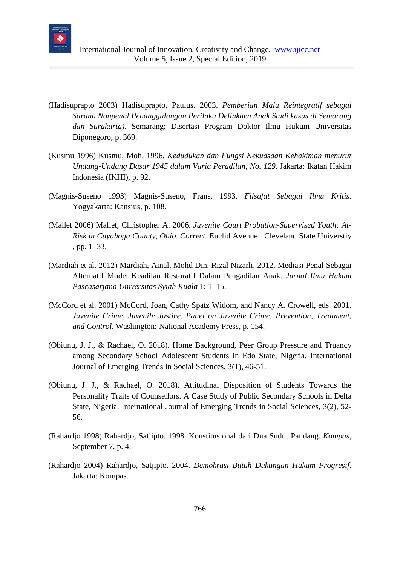

- (Hadisuprapto 2003) Hadisuprapto, Paulus. 2003. *Pemberian Malu Reintegratif sebagai Sarana Nonpenal Penanggulangan Perilaku Delinkuen Anak Studi kasus di Semarang dan Surakarta)*. Semarang: Disertasi Program Doktor Ilmu Hukum Universitas Diponegoro, p. 369.
- (Kusmu 1996) Kusmu, Moh. 1996. *Kedudukan dan Fungsi Kekuasaan Kehakiman menurut Undang-Undang Dasar 1945 dalam Varia Peradilan, No. 129*. Jakarta: Ikatan Hakim Indonesia (IKHI), p. 92.
- (Magnis-Suseno 1993) Magnis-Suseno, Frans. 1993. *Filsafat Sebagai Ilmu Kritis.* Yogyakarta: Kansius, p. 108.
- (Mallet 2006) Mallet, Christopher A. 2006. *Juvenile Court Probation-Supervised Youth: At-Risk in Cuyahoga County, Ohio*. *Correct.* Euclid Avenue : Cleveland State Universtiy , pp. 1–33.
- (Mardiah et al. 2012) Mardiah, Ainal, Mohd Din, Rizal Nizarli. 2012. Mediasi Penal Sebagai Alternatif Model Keadilan Restoratif Dalam Pengadilan Anak. *Jurnal Ilmu Hukum Pascasarjana Universitas Syiah Kuala* 1: 1–15.
- (McCord et al. 2001) McCord, Joan, Cathy Spatz Widom, and Nancy A. Crowell, eds. 2001. *Juvenile Crime, Juvenile Justice. Panel on Juvenile Crime: Prevention, Treatment, and Control*. Washington: National Academy Press, p. 154.
- (Obiunu, J. J., & Rachael, O. 2018). Home Background, Peer Group Pressure and Truancy among Secondary School Adolescent Students in Edo State, Nigeria. International Journal of Emerging Trends in Social Sciences, 3(1), 46-51.
- (Obiunu, J. J., & Rachael, O. 2018). Attitudinal Disposition of Students Towards the Personality Traits of Counsellors. A Case Study of Public Secondary Schools in Delta State, Nigeria. International Journal of Emerging Trends in Social Sciences, 3(2), 52- 56.
- (Rahardjo 1998) Rahardjo, Satjipto. 1998. Konstitusional dari Dua Sudut Pandang. *Kompas*, September 7, p. 4.
- (Rahardjo 2004) Rahardjo, Satjipto. 2004. *Demokrasi Butuh Dukungan Hukum Progresif*. Jakarta: Kompas.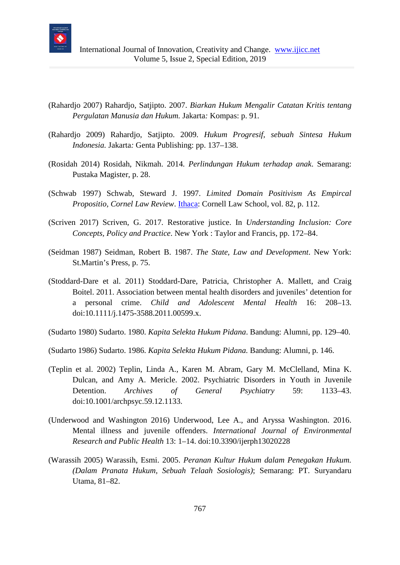

- (Rahardjo 2007) Rahardjo, Satjipto. 2007. *Biarkan Hukum Mengalir Catatan Kritis tentang Pergulatan Manusia dan Hukum.* Jakarta*:* Kompas: p. 91.
- (Rahardjo 2009) Rahardjo, Satjipto. 2009. *Hukum Progresif, sebuah Sintesa Hukum Indonesia.* Jakarta*:* Genta Publishing: pp. 137–138.
- (Rosidah 2014) Rosidah, Nikmah. 2014*. Perlindungan Hukum terhadap anak*. Semarang: Pustaka Magister, p. 28.
- (Schwab 1997) Schwab, Steward J. 1997. *Limited Domain Positivism As Empircal Propositio, Cornel Law Review. Ithaca: Cornell Law School, vol. 82, p. 112.*
- (Scriven 2017) Scriven, G. 2017. Restorative justice. In *Understanding Inclusion: Core Concepts, Policy and Practice*. New York : Taylor and Francis, pp. 172–84.
- (Seidman 1987) Seidman, Robert B. 1987. *The State, Law and Development*. New York: St.Martin's Press, p. 75.
- (Stoddard-Dare et al. 2011) Stoddard-Dare, Patricia, Christopher A. Mallett, and Craig Boitel. 2011. Association between mental health disorders and juveniles' detention for a personal crime. *Child and Adolescent Mental Health* 16: 208–13. doi:10.1111/j.1475-3588.2011.00599.x.
- (Sudarto 1980) Sudarto. 1980. *Kapita Selekta Hukum Pidana*. Bandung: Alumni, pp. 129–40.
- (Sudarto 1986) Sudarto. 1986. *Kapita Selekta Hukum Pidana.* Bandung: Alumni, p. 146.
- (Teplin et al. 2002) Teplin, Linda A., Karen M. Abram, Gary M. McClelland, Mina K. Dulcan, and Amy A. Mericle. 2002. Psychiatric Disorders in Youth in Juvenile Detention. *Archives of General Psychiatry* 59: 1133–43. doi:10.1001/archpsyc.59.12.1133.
- (Underwood and Washington 2016) Underwood, Lee A., and Aryssa Washington. 2016. Mental illness and juvenile offenders. *International Journal of Environmental Research and Public Health* 13: 1–14. doi:10.3390/ijerph13020228
- (Warassih 2005) Warassih, Esmi. 2005. *Peranan Kultur Hukum dalam Penegakan Hukum. (Dalam Pranata Hukum, Sebuah Telaah Sosiologis)*; Semarang: PT. Suryandaru Utama, 81–82.